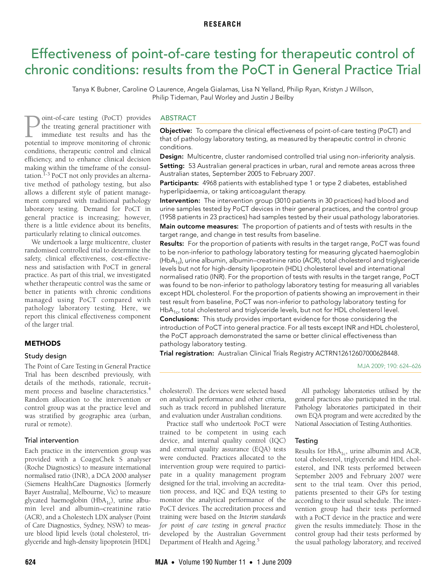# <span id="page-0-0"></span>Effectiveness of point-of-care testing for therapeutic control of chronic conditions: results from the PoCT in General Practice Trial

Tanya K Bubner, Caroline O Laurence, Angela Gialamas, Lisa N Yelland, Philip Ryan, Kristyn J Willson, Philip Tideman, Paul Worley and Justin J Beilby

The Medical Consultation of the Consultation.<sup> $1-3$  $1-3$ </sup> PoCT not only provides a[n alte](#page-0-0)[rna](#page-2-4)tive method of pathology testing, but also allows a different style of patient management compared with traditional pathology oint-of-care testing (PoCT) provides the treating general practitioner with immediate test results and has the **point-of-care testing (PoCT) provides**<br>the treating general practitioner with<br>immediate test results and has the<br>potential to improve monitoring of chronic conditions, therapeutic control and clinical efficiency, and to enhance clinical decision making within the timeframe of the consullaboratory testing. Demand for PoCT in general practice is increasing; however, there is a little evidence about its benefits, particularly relating to clinical outcomes.

We undertook a large multicentre, cluster randomised controlled trial to determine the safety, clinical effectiveness, cost-effectiveness and satisfaction with PoCT in general practice. As part of this trial, we investigated whether therapeutic control was the same or better in patients with chronic conditions managed using PoCT compared with pathology laboratory testing. Here, we report this clinical effectiveness component of the larger trial.

#### METHODS

## Study design

The Point of Care Testing in General Practice Trial has been described previously, with details of the methods, rationale, recruitment process and baseline characteristics.[4](#page-2-2) Random allocation to the intervention or control group was at the practice level and was stratified by geographic area (urban, rural or remote).

## Trial intervention

Each practice in the intervention group was provided with a CoaguChek S analyser (Roche Diagnostics) to measure international normalised ratio (INR), a DCA 2000 analyser (Siemens HealthCare Diagnostics [formerly Bayer Australia], Melbourne, Vic) to measure glycated haemoglobin (HbA<sub>1c</sub>), urine albumin level and albumin–creatinine ratio (ACR), and a Cholestech LDX analyser (Point of Care Diagnostics, Sydney, NSW) to measure blood lipid levels (total cholesterol, triglyceride and high-density lipoprotein [HDL]

## ABSTRACT

Objective: To compare the clinical effectiveness of point-of-care testing (PoCT) and that of pathology laboratory testing, as measured by therapeutic control in chronic conditions.

Design: Multicentre, cluster randomised controlled trial using non-inferiority analysis. Setting: 53 Australian general practices in urban, rural and remote areas across three Australian states, September 2005 to February 2007.

Participants: 4968 patients with established type 1 or type 2 diabetes, established hyperlipidaemia, or taking anticoagulant therapy.

Intervention: The intervention group (3010 patients in 30 practices) had blood and urine samples tested by PoCT devices in their general practices, and the control group (1958 patients in 23 practices) had samples tested by their usual pathology laboratories.

Main outcome measures: The proportion of patients and of tests with results in the target range, and change in test results from baseline.

**Results:** For the proportion of patients with results in the target range, PoCT was found to be non-inferior to pathology laboratory testing for measuring glycated haemoglobin (Hb $A_1$ c), urine albumin, albumin–creatinine ratio (ACR), total cholesterol and triglyceride levels but not for high-density lipoprotein (HDL) cholesterol level and international normalised ratio (INR). For the proportion of tests with results in the target range, PoCT was found to be non-inferior to pathology laboratory testing for measuring all variables except HDL cholesterol. For the proportion of patients showing an improvement in their test result from baseline, PoCT was non-inferior to pathology laboratory testing for  $HbA<sub>1c</sub>$ , total cholesterol and triglyceride levels, but not for HDL cholesterol level.

Conclusions: This study provides important evidence for those considering the introduction of PoCT into general practice. For all tests except INR and HDL cholesterol, the PoCT approach demonstrated the same or better clinical effectiveness than pathology laboratory testing.

**Trial registration:** Australian Clinical Trials Registry ACTRN12612607000628448.

MJA 2009; 190: 624–626

cholesterol). The devices were selected based on analytical performance and other criteria, such as track record in published literature and evaluation under Australian conditions.

Practice staff who undertook PoCT were trained to be competent in using each device, and internal quality control (IQC) and external quality assurance (EQA) tests were conducted. Practices allocated to the intervention group were required to participate in a quality management program designed for the trial, involving an accreditation process, and IQC and EQA testing to monitor the analytical performance of the PoCT devices. The accreditation process and training were based on the *Interim standards for point of care testing in general practice* developed by the Australian Government Department of Health and Ageing.<sup>[5](#page-2-3)</sup>

All pathology laboratories utilised by the general practices also participated in the trial. Pathology laboratories participated in their own EQA program and were accredited by the National Association of Testing Authorities.

## **Testing**

Results for  $HbA_{1c}$ , urine albumin and ACR, total cholesterol, triglyceride and HDL cholesterol, and INR tests performed between September 2005 and February 2007 were sent to the trial team. Over this period, patients presented to their GPs for testing according to their usual schedule. The intervention group had their tests performed with a PoCT device in the practice and were given the results immediately. Those in the control group had their tests performed by the usual pathology laboratory, and received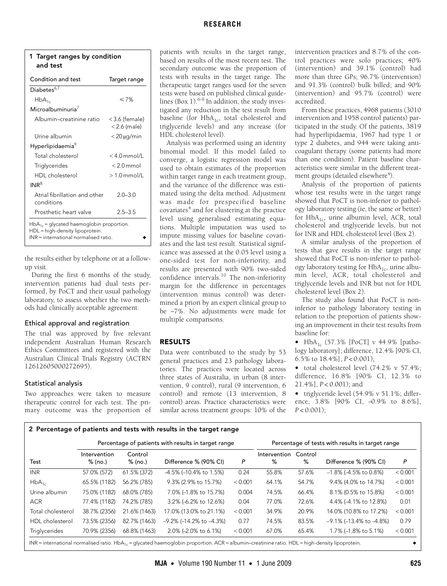| 1 Target ranges by condition |
|------------------------------|
| and test                     |
|                              |

| Condition and test                                                                                                          | Target range                       |  |  |  |  |
|-----------------------------------------------------------------------------------------------------------------------------|------------------------------------|--|--|--|--|
| Diabetes $6,7$                                                                                                              |                                    |  |  |  |  |
| $HbA_{1c}$                                                                                                                  | ≤7%                                |  |  |  |  |
| Microalbuminuria $^7$                                                                                                       |                                    |  |  |  |  |
| Albumin-creatinine ratio                                                                                                    | $<$ 3.6 (female)<br>$<$ 2.6 (male) |  |  |  |  |
| Urine albumin                                                                                                               | $<$ 20 $\mu$ g/min                 |  |  |  |  |
| Hyperlipidaemia <sup>9</sup>                                                                                                |                                    |  |  |  |  |
| Total cholesterol                                                                                                           | $< 40$ mmol/l                      |  |  |  |  |
| Triglycerides                                                                                                               | $< 20$ mmol                        |  |  |  |  |
| HDI cholesterol                                                                                                             | $>10$ mmol/l                       |  |  |  |  |
| INR <sup>8</sup>                                                                                                            |                                    |  |  |  |  |
| Atrial fibrillation and other<br>conditions                                                                                 | $2.0 - 3.0$                        |  |  |  |  |
| Prosthetic heart valve                                                                                                      | $25 - 35$                          |  |  |  |  |
| $HbA_{1c}$ = glycated haemoglobin proportion.<br>HDL = high-density lipoprotein.<br>$INR =$ international normalised ratio. |                                    |  |  |  |  |

the results either by telephone or at a followup visit.

During the first 6 months of the study, intervention patients had dual tests performed, by PoCT and their usual pathology laboratory, to assess whether the two methods had clinically acceptable agreement.

## Ethical approval and registration

The trial was approved by five relevant independent Australian Human Research Ethics Committees and registered with the Australian Clinical Trials Registry (ACTRN 12612605000272695).

## Statistical analysis

Two approaches were taken to measure therapeutic control for each test. The primary outcome was the proportion of

patients with results in the target range, based on results of the most recent test. The secondary outcome was the proportion of tests with results in the target range. The therapeutic target ranges used for the seven tests were based on published clinical guidelines (Box 1). $6-9$  $6-9$  In addition, the study investigated any reduction in the test result from baseline (for  $HbA_{1c}$ , total cholesterol and triglyceride levels) and any increase (for HDL cholesterol level).

Analysis was performed using an identity binomial model. If this model failed to converge, a logistic regression model was used to obtain estimates of the proportion within target range in each treatment group, and the variance of the difference was estimated using the delta method. Adjustment was made for prespecified baseline covariates<sup>[4](#page-2-2)</sup> and for clustering at the practice level using generalised estimating equations. Multiple imputation was used to impute missing values for baseline covariates and the last test result. Statistical significance was assessed at the 0.05 level using a one-sided test for non-inferiority, and results are presented with 90% two-sided confidence intervals.<sup>10</sup> The non-inferiority margin for the difference in percentages (intervention minus control) was determined a priori by an expert clinical group to be −7%. No adjustments were made for multiple comparisons.

# RESULTS

Data were contributed to the study by 53 general practices and 23 pathology laboratories. The practices were located across three states of Australia, in urban (8 intervention, 9 control), rural (9 intervention, 6 control) and remote (13 intervention, 8 control) areas. Practice characteristics were similar across treatment groups: 10% of the

intervention practices and 8.7% of the control practices were solo practices; 40% (intervention) and 39.1% (control) had more than three GPs; 96.7% (intervention) and 91.3% (control) bulk billed; and 90% (intervention) and 95.7% (control) were accredited.

From these practices, 4968 patients (3010 intervention and 1958 control patients) participated in the study. Of the patients, 3819 had hyperlipidaemia, 1967 had type 1 or type 2 diabetes, and 944 were taking anticoagulant therapy (some patients had more than one condition). Patient baseline characteristics were similar in the different treat-ment groups (detailed elsewhere<sup>[4](#page-2-2)</sup>).

Analysis of the proportion of patients whose test results were in the target range showed that PoCT is non-inferior to pathology laboratory testing (ie, the same or better) for  $HbA_{1c}$ , urine albumin level, ACR, total cholesterol and triglyceride levels, but not for INR and HDL cholesterol level (Box 2).

A similar analysis of the proportion of tests that gave results in the target range showed that PoCT is non-inferior to pathology laboratory testing for  $HbA_{1c}$ , urine albumin level, ACR, total cholesterol and triglyceride levels and INR but not for HDL cholesterol level (Box 2).

The study also found that PoCT is noninferior to pathology laboratory testing in relation to the proportion of patients showing an improvement in their test results from baseline for:

•  $HbA_{1c}$  (57.3% [PoCT] v 44.9% [pathology laboratory]; difference, 12.4% [90% CI, 6.5% to 18.4%], *P* < 0.001);

• total cholesterol level (74.2% v 57.4%; difference, 16.8% [90% CI, 12.3% to 21.4%], *P* < 0.001); and

• triglyceride level (54.9% v 51.1%; difference, 3.8% [90% CI, -0.9% to 8.6%], *P* < 0.001);

## 2 Percentage of patients and tests with results in the target range

|                        | Percentage of patients with results in target range |                    |                                    |         | Percentage of tests with results in target range |              |                                    |         |
|------------------------|-----------------------------------------------------|--------------------|------------------------------------|---------|--------------------------------------------------|--------------|------------------------------------|---------|
| Test                   | Intervention<br>% (no.)                             | Control<br>% (no.) | Difference % (90% CI)              | P       | Intervention<br>%                                | Control<br>% | Difference % (90% CI)              | P       |
| <b>INR</b>             | 57.0% (572)                                         | 61.5% (372)        | $-4.5\%$ ( $-10.4\%$ to 1.5%)      | 0.24    | 55.8%                                            | 57.6%        | $-1.8\%$ (-4.5% to 0.8%)           | < 0.001 |
| $HbA_{1c}$             | 65.5% (1182)                                        | 56.2% (785)        | 9.3% (2.9% to 15.7%)               | < 0.001 | 64.1%                                            | 54.7%        | 9.4% (4.0% to 14.7%)               | < 0.001 |
| Urine albumin          | 75.0% (1182)                                        | 68.0% (785)        | 7.0% (-1.8% to 15.7%)              | 0.004   | 74.5%                                            | 66.4%        | 8.1% (0.5% to 15.8%)               | < 0.001 |
| <b>ACR</b>             | 77.4% (1182)                                        | 74.2% (785)        | 3.2% (-6.2% to 12.6%)              | 0.04    | 77.0%                                            | 72.6%        | 4.4% (-4.1% to 12.8%)              | 0.01    |
| Total cholesterol      | 38.7% (2356)                                        | 21.6% (1463)       | 17.0% (13.0% to 21.1%)             | < 0.001 | 34.9%                                            | 20.9%        | 14.0% (10.8% to 17.2%)             | < 0.001 |
| <b>HDL</b> cholesterol | 73.5% (2356)                                        | 82.7% (1463)       | $-9.2\%$ ( $-14.2\%$ to $-4.3\%$ ) | 0.77    | 74.5%                                            | 83.5%        | $-9.1\%$ ( $-13.4\%$ to $-4.8\%$ ) | 0.79    |
| Triglycerides          | 70.9% (2356)                                        | 68.8% (1463)       | 2.0% (-2.0% to 6.1%)               | < 0.001 | 67.0%                                            | 65.4%        | 1.7% (-1.8% to 5.1%)               | < 0.001 |

INR = international normalised ratio. HbA<sub>1c</sub> = glycated haemoglobin proportion. ACR = albumin–creatinine ratio. HDL = high-density lipoprotein.  $\leftrightarrow$